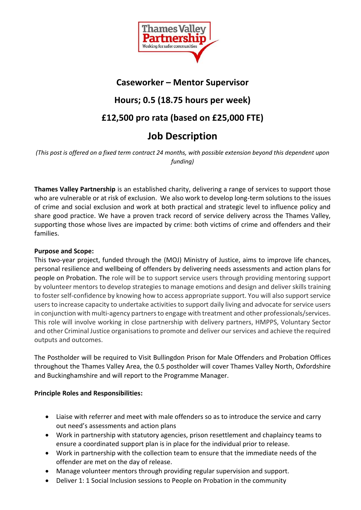

### **Caseworker – Mentor Supervisor**

## **Hours; 0.5 (18.75 hours per week)**

## **£12,500 pro rata (based on £25,000 FTE)**

# **Job Description**

*(This post is offered on a fixed term contract 24 months, with possible extension beyond this dependent upon funding)*

**Thames Valley Partnership** is an established charity, delivering a range of services to support those who are vulnerable or at risk of exclusion. We also work to develop long-term solutions to the issues of crime and social exclusion and work at both practical and strategic level to influence policy and share good practice. We have a proven track record of service delivery across the Thames Valley, supporting those whose lives are impacted by crime: both victims of crime and offenders and their families.

### **Purpose and Scope:**

This two-year project, funded through the (MOJ) Ministry of Justice, aims to improve life chances, personal resilience and wellbeing of offenders by delivering needs assessments and action plans for people on Probation. The role will be to support service users through providing mentoring support by volunteer mentors to develop strategies to manage emotions and design and deliver skills training to foster self-confidence by knowing how to access appropriate support. You will also support service users to increase capacity to undertake activities to support daily living and advocate for service users in conjunction with multi-agency partners to engage with treatment and other professionals/services. This role will involve working in close partnership with delivery partners, HMPPS, Voluntary Sector and other Criminal Justice organisations to promote and deliver our services and achieve the required outputs and outcomes.

The Postholder will be required to Visit Bullingdon Prison for Male Offenders and Probation Offices throughout the Thames Valley Area, the 0.5 postholder will cover Thames Valley North, Oxfordshire and Buckinghamshire and will report to the Programme Manager.

### **Principle Roles and Responsibilities:**

- Liaise with referrer and meet with male offenders so as to introduce the service and carry out need's assessments and action plans
- Work in partnership with statutory agencies, prison resettlement and chaplaincy teams to ensure a coordinated support plan is in place for the individual prior to release.
- Work in partnership with the collection team to ensure that the immediate needs of the offender are met on the day of release.
- Manage volunteer mentors through providing regular supervision and support.
- Deliver 1: 1 Social Inclusion sessions to People on Probation in the community